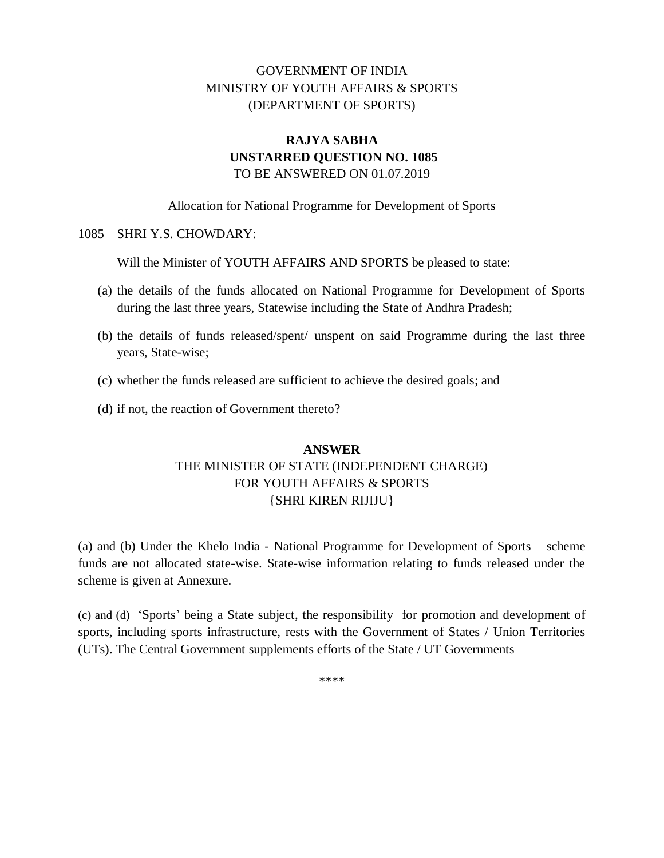## GOVERNMENT OF INDIA MINISTRY OF YOUTH AFFAIRS & SPORTS (DEPARTMENT OF SPORTS)

## **RAJYA SABHA UNSTARRED QUESTION NO. 1085** TO BE ANSWERED ON 01.07.2019

Allocation for National Programme for Development of Sports

## 1085 SHRI Y.S. CHOWDARY:

Will the Minister of YOUTH AFFAIRS AND SPORTS be pleased to state:

- (a) the details of the funds allocated on National Programme for Development of Sports during the last three years, Statewise including the State of Andhra Pradesh;
- (b) the details of funds released/spent/ unspent on said Programme during the last three years, State-wise;
- (c) whether the funds released are sufficient to achieve the desired goals; and
- (d) if not, the reaction of Government thereto?

## **ANSWER** THE MINISTER OF STATE (INDEPENDENT CHARGE) FOR YOUTH AFFAIRS & SPORTS {SHRI KIREN RIJIJU}

(a) and (b) Under the Khelo India - National Programme for Development of Sports – scheme funds are not allocated state-wise. State-wise information relating to funds released under the scheme is given at Annexure.

(c) and (d) 'Sports' being a State subject, the responsibility for promotion and development of sports, including sports infrastructure, rests with the Government of States / Union Territories (UTs). The Central Government supplements efforts of the State / UT Governments

\*\*\*\*